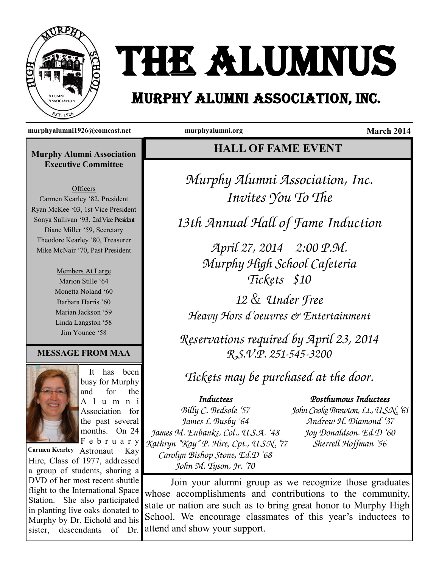

# THE ALUMNUS

## MURPHY ALUMNI ASSOCIATION, Inc.

**murphyalumni1926@comcast.net murphyalumni.org March 2014**

#### **Murphy Alumni Association Executive Committee**

**Officers** Carmen Kearley '82, President Ryan McKee '03, 1st Vice President Sonya Sullivan '93, 2nd Vice President Diane Miller '59, Secretary Theodore Kearley '80, Treasurer Mike McNair '70, Past President

> Members At Large Marion Stille '64 Monetta Noland '60 Barbara Harris '60 Marian Jackson '59 Linda Langston '58 Jim Younce '58

#### **MESSAGE FROM MAA**



 It has been busy for Murphy and for the A l u m n i Association for the past several months. On 24 F e b r u a r y

Carmen Kearley Astronaut Kay Hire, Class of 1977, addressed a group of students, sharing a DVD of her most recent shuttle flight to the International Space Station. She also participated in planting live oaks donated to Murphy by Dr. Eichold and his sister, descendants of Dr.

**HALL OF FAME EVENT**

Murphy Alumni Association, Inc. Invites You To The

13th Annual Hall of Fame Induction

April 27, 2014 2:00 P.M. Murphy High School Cafeteria Tickets \$10

12 & Under Free Heavy Hors d'oeuvres & Entertainment

Reservations required by April 23, 2014 R.S.V.P. 251-545-3200

Tickets may be purchased at the door.

### Inductees

#### Posthumous Inductees

Billy C. Bedsole '57 James L Busby '64 James M. Eubanks, Col., U.S.A. '48 Kathryn "Kay" P. Hire, Cpt., U.S.N. '77 Carolyn Bishop Stone, Ed.D '68 John M. Tyson, Jr. '70

John Cooke Brewton, Lt., U.S.N. '61 Andrew H. Diamond '37 Joy Donaldson. Ed.D '60 Sherrell Hoffman '56

Join your alumni group as we recognize those graduates whose accomplishments and contributions to the community, state or nation are such as to bring great honor to Murphy High School. We encourage classmates of this year's inductees to attend and show your support.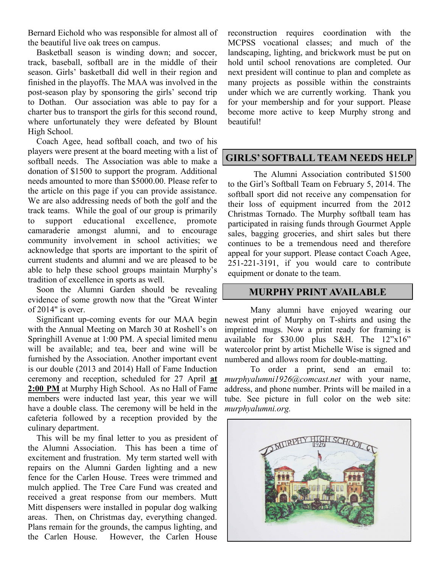Bernard Eichold who was responsible for almost all of the beautiful live oak trees on campus.

 Basketball season is winding down; and soccer, track, baseball, softball are in the middle of their season. Girls' basketball did well in their region and finished in the playoffs. The MAA was involved in the post-season play by sponsoring the girls' second trip to Dothan. Our association was able to pay for a charter bus to transport the girls for this second round, where unfortunately they were defeated by Blount High School.

 Coach Agee, head softball coach, and two of his players were present at the board meeting with a list of softball needs. The Association was able to make a donation of \$1500 to support the program. Additional needs amounted to more than \$5000.00. Please refer to the article on this page if you can provide assistance. We are also addressing needs of both the golf and the track teams. While the goal of our group is primarily to support educational excellence, promote camaraderie amongst alumni, and to encourage community involvement in school activities; we acknowledge that sports are important to the spirit of current students and alumni and we are pleased to be able to help these school groups maintain Murphy's tradition of excellence in sports as well.

 Soon the Alumni Garden should be revealing evidence of some growth now that the "Great Winter of 2014" is over.

 Significant up-coming events for our MAA begin with the Annual Meeting on March 30 at Roshell's on Springhill Avenue at 1:00 PM. A special limited menu will be available; and tea, beer and wine will be furnished by the Association. Another important event is our double (2013 and 2014) Hall of Fame Induction ceremony and reception, scheduled for 27 April **at 2:00 PM** at Murphy High School. As no Hall of Fame members were inducted last year, this year we will have a double class. The ceremony will be held in the cafeteria followed by a reception provided by the culinary department.

 This will be my final letter to you as president of the Alumni Association. This has been a time of excitement and frustration. My term started well with repairs on the Alumni Garden lighting and a new fence for the Carlen House. Trees were trimmed and mulch applied. The Tree Care Fund was created and received a great response from our members. Mutt Mitt dispensers were installed in popular dog walking areas. Then, on Christmas day, everything changed. Plans remain for the grounds, the campus lighting, and the Carlen House. However, the Carlen House

reconstruction requires coordination with the MCPSS vocational classes; and much of the landscaping, lighting, and brickwork must be put on hold until school renovations are completed. Our next president will continue to plan and complete as many projects as possible within the constraints under which we are currently working. Thank you for your membership and for your support. Please become more active to keep Murphy strong and beautiful!

#### **GIRLS' SOFTBALL TEAM NEEDS HELP**

The Alumni Association contributed \$1500 to the Girl's Softball Team on February 5, 2014. The softball sport did not receive any compensation for their loss of equipment incurred from the 2012 Christmas Tornado. The Murphy softball team has participated in raising funds through Gourmet Apple sales, bagging groceries, and shirt sales but there continues to be a tremendous need and therefore appeal for your support. Please contact Coach Agee, 251-221-3191, if you would care to contribute equipment or donate to the team.

#### **MURPHY PRINT AVAILABLE**

Many alumni have enjoyed wearing our newest print of Murphy on T-shirts and using the imprinted mugs. Now a print ready for framing is available for \$30.00 plus S&H. The 12"x16" watercolor print by artist Michelle Wise is signed and numbered and allows room for double-matting.

To order a print, send an email to: *murphyalumni1926@comcast.net* with your name, address, and phone number. Prints will be mailed in a tube. See picture in full color on the web site: *murphyalumni.org.*

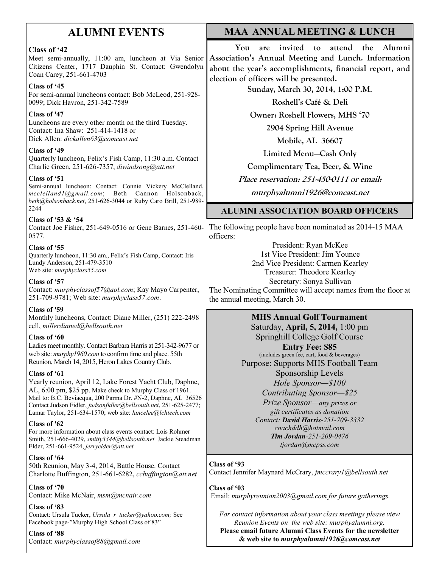## **ALUMNI EVENTS**

#### **Class of '42**

Meet semi-annually, 11:00 am, luncheon at Via Senior Citizens Center, 1717 Dauphin St. Contact: Gwendolyn Coan Carey, 251-661-4703

#### **Class of '45**

For semi-annual luncheons contact: Bob McLeod, 251-928- 0099; Dick Havron, 251-342-7589

#### **Class of '47**

Luncheons are every other month on the third Tuesday. Contact: Ina Shaw: 251-414-1418 or Dick Allen: *dickallen63@comcast.net*

#### **Class of '49**

Quarterly luncheon, Felix's Fish Camp, 11:30 a.m. Contact Charlie Green, 251-626-7357, *diwindsong@att.net*

#### **Class of '51**

Semi-annual luncheon: Contact: Connie Vickery McClelland, *mcclelland1@gmail.com*; Beth Cannon Holsonback, *beth@holsonback.net*, 251-626-3044 or Ruby Caro Brill, 251-989- 2244

#### **Class of '53 & '54**

Contact Joe Fisher, 251-649-0516 or Gene Barnes, 251-460- 0577.

#### **Class of '55**

Quarterly luncheon, 11:30 am., Felix's Fish Camp, Contact: Iris Lundy Anderson, 251-479-3510 Web site: *murphyclass55.com* 

#### **Class of '57**

Contact: *murphyclassof57@aol.com*; Kay Mayo Carpenter, 251-709-9781; Web site: *murphyclass57.com*.

#### **Class of '59**

Monthly luncheons, Contact: Diane Miller, (251) 222-2498 cell, *millerdianed@bellsouth.net*

#### **Class of '60**

Ladies meet monthly. Contact Barbara Harris at 251-342-9677 or web site: *murphy1960.com* to confirm time and place. 55th Reunion, March 14, 2015, Heron Lakes Country Club.

#### **Class of '61**

Yearly reunion, April 12, Lake Forest Yacht Club, Daphne, AL, 6:00 pm, \$25 pp. Make check to Murphy Class of 1961. Mail to: B.C. Beviacqua, 200 Parma Dr. #N-2, Daphne, AL 36526 Contact Judson Fidler, *judsonfidler@bellsouth.net*, 251-625-2477; Lamar Taylor, 251-634-1570; web site: *lancelee@lchtech.com*

#### **Class of '62**

For more information about class events contact: Lois Rohmer Smith, 251-666-4029, *smitty3344@bellsouth.net* Jackie Steadman Elder, 251-661-9524, *jerryelder@att.net*

#### **Class of '64**

50th Reunion, May 3-4, 2014, Battle House. Contact Charlotte Buffington, 251-661-6282, *ccbuffington@att.net*

#### **Class of '70**

Contact: Mike McNair, *msm@mcnair.com*

#### **Class of '83**

Contact: Ursula Tucker, *Ursula\_r\_tucker@yahoo.com;* See Facebook page-"Murphy High School Class of 83"

**Class of '88** Contact: *murphyclassof88@gmail.com*

#### **MAA ANNUAL MEETING & LUNCH**

**You are invited to attend the Alumni Association's Annual Meeting and Lunch. Information about the year's accomplishments, financial report, and election of officers will be presented.**

**Sunday, March 30, 2014, 1:00 P.M.**

**Roshell's Café & Deli**

**Owner: Roshell Flowers, MHS '70**

**2904 Spring Hill Avenue**

**Mobile, AL 36607**

**Limited Menu—Cash Only**

**Complimentary Tea, Beer, & Wine**

**Place reservation: 251-450-0111 or email:** 

**murphyalumni1926@comcast.net**

#### **ALUMNI ASSOCIATION BOARD OFFICERS**

The following people have been nominated as 2014-15 MAA officers:

President: Ryan McKee 1st Vice President: Jim Younce 2nd Vice President: Carmen Kearley Treasurer: Theodore Kearley Secretary: Sonya Sullivan The Nominating Committee will accept names from the floor at the annual meeting, March 30.

> **MHS Annual Golf Tournament** Saturday, **April, 5, 2014,** 1:00 pm Springhill College Golf Course **Entry Fee: \$85**  (includes green fee, cart, food & beverages) Purpose: Supports MHS Football Team Sponsorship Levels *Hole Sponsor—\$100 Contributing Sponsor—\$25*

*Prize Sponsor—any prizes or gift certificates as donation Contact: David Harris-251-709-3332 coachddh@hotmail.com Tim Jordan-251-209-0476 tjordan@mcpss.com*

#### **Class of '93**

Contact Jennifer Maynard McCrary, *jmccrary1@bellsouth.net*

**Class of '03**

Email: *murphyreunion2003@gmail.com for future gatherings.*

*For contact information about your class meetings please view Reunion Events on the web site: murphyalumni.org.*  **Please email future Alumni Class Events for the newsletter & web site to** *murphyalumni1926@comcast.net*